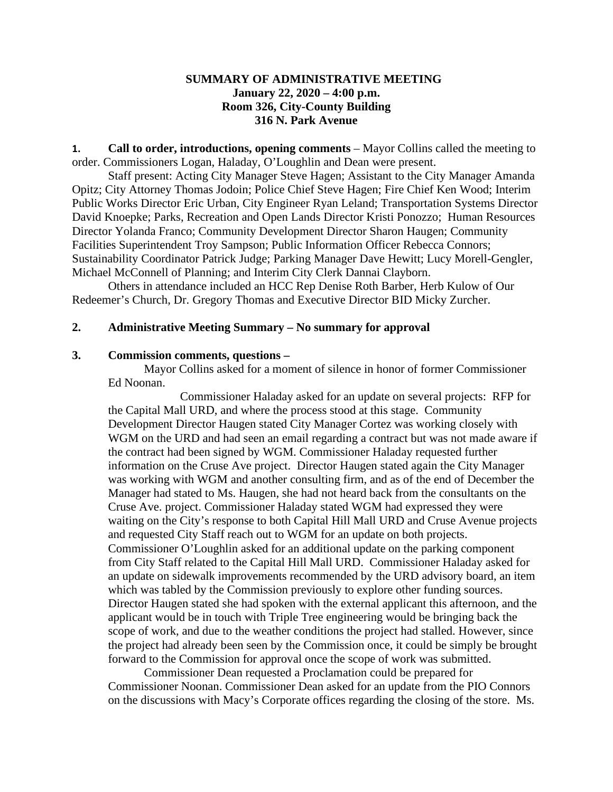## **SUMMARY OF ADMINISTRATIVE MEETING January 22, 2020 – 4:00 p.m. Room 326, City-County Building 316 N. Park Avenue**

**1. Call to order, introductions, opening comments** – Mayor Collins called the meeting to order. Commissioners Logan, Haladay, O'Loughlin and Dean were present.

Staff present: Acting City Manager Steve Hagen; Assistant to the City Manager Amanda Opitz; City Attorney Thomas Jodoin; Police Chief Steve Hagen; Fire Chief Ken Wood; Interim Public Works Director Eric Urban, City Engineer Ryan Leland; Transportation Systems Director David Knoepke; Parks, Recreation and Open Lands Director Kristi Ponozzo; Human Resources Director Yolanda Franco; Community Development Director Sharon Haugen; Community Facilities Superintendent Troy Sampson; Public Information Officer Rebecca Connors; Sustainability Coordinator Patrick Judge; Parking Manager Dave Hewitt; Lucy Morell-Gengler, Michael McConnell of Planning; and Interim City Clerk Dannai Clayborn.

Others in attendance included an HCC Rep Denise Roth Barber, Herb Kulow of Our Redeemer's Church, Dr. Gregory Thomas and Executive Director BID Micky Zurcher.

#### **2. Administrative Meeting Summary – No summary for approval**

#### **3. Commission comments, questions –**

Mayor Collins asked for a moment of silence in honor of former Commissioner Ed Noonan.

Commissioner Haladay asked for an update on several projects: RFP for the Capital Mall URD, and where the process stood at this stage. Community Development Director Haugen stated City Manager Cortez was working closely with WGM on the URD and had seen an email regarding a contract but was not made aware if the contract had been signed by WGM. Commissioner Haladay requested further information on the Cruse Ave project. Director Haugen stated again the City Manager was working with WGM and another consulting firm, and as of the end of December the Manager had stated to Ms. Haugen, she had not heard back from the consultants on the Cruse Ave. project. Commissioner Haladay stated WGM had expressed they were waiting on the City's response to both Capital Hill Mall URD and Cruse Avenue projects and requested City Staff reach out to WGM for an update on both projects. Commissioner O'Loughlin asked for an additional update on the parking component from City Staff related to the Capital Hill Mall URD. Commissioner Haladay asked for an update on sidewalk improvements recommended by the URD advisory board, an item which was tabled by the Commission previously to explore other funding sources. Director Haugen stated she had spoken with the external applicant this afternoon, and the applicant would be in touch with Triple Tree engineering would be bringing back the scope of work, and due to the weather conditions the project had stalled. However, since the project had already been seen by the Commission once, it could be simply be brought forward to the Commission for approval once the scope of work was submitted.

Commissioner Dean requested a Proclamation could be prepared for Commissioner Noonan. Commissioner Dean asked for an update from the PIO Connors on the discussions with Macy's Corporate offices regarding the closing of the store. Ms.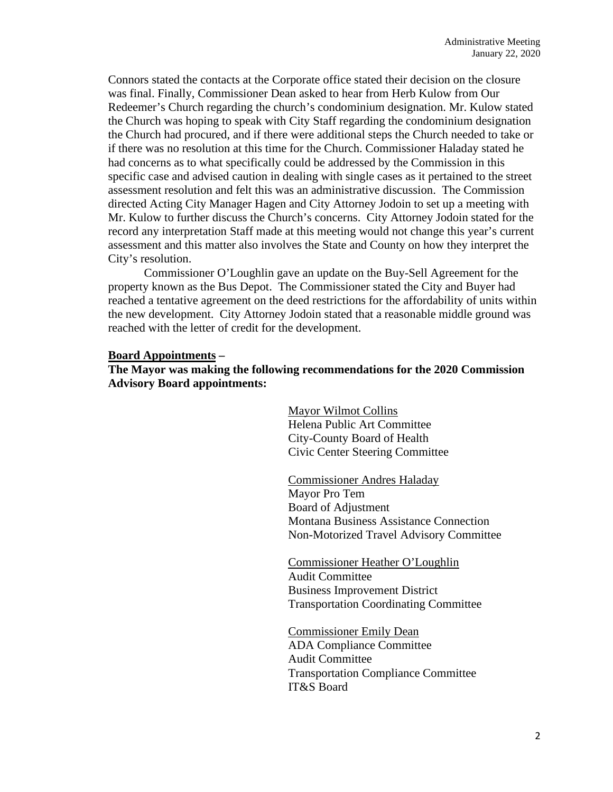Connors stated the contacts at the Corporate office stated their decision on the closure was final. Finally, Commissioner Dean asked to hear from Herb Kulow from Our Redeemer's Church regarding the church's condominium designation. Mr. Kulow stated the Church was hoping to speak with City Staff regarding the condominium designation the Church had procured, and if there were additional steps the Church needed to take or if there was no resolution at this time for the Church. Commissioner Haladay stated he had concerns as to what specifically could be addressed by the Commission in this specific case and advised caution in dealing with single cases as it pertained to the street assessment resolution and felt this was an administrative discussion. The Commission directed Acting City Manager Hagen and City Attorney Jodoin to set up a meeting with Mr. Kulow to further discuss the Church's concerns. City Attorney Jodoin stated for the record any interpretation Staff made at this meeting would not change this year's current assessment and this matter also involves the State and County on how they interpret the City's resolution.

Commissioner O'Loughlin gave an update on the Buy-Sell Agreement for the property known as the Bus Depot. The Commissioner stated the City and Buyer had reached a tentative agreement on the deed restrictions for the affordability of units within the new development. City Attorney Jodoin stated that a reasonable middle ground was reached with the letter of credit for the development.

#### **Board Appointments –**

**The Mayor was making the following recommendations for the 2020 Commission Advisory Board appointments:**

> Mayor Wilmot Collins Helena Public Art Committee City-County Board of Health Civic Center Steering Committee

Commissioner Andres Haladay Mayor Pro Tem Board of Adjustment Montana Business Assistance Connection Non-Motorized Travel Advisory Committee

Commissioner Heather O'Loughlin Audit Committee Business Improvement District Transportation Coordinating Committee

Commissioner Emily Dean ADA Compliance Committee Audit Committee Transportation Compliance Committee IT&S Board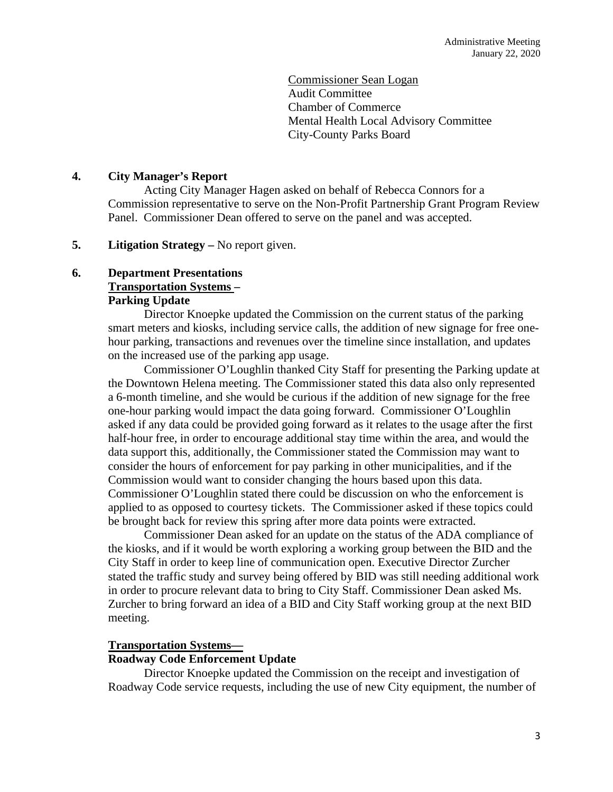Commissioner Sean Logan Audit Committee Chamber of Commerce Mental Health Local Advisory Committee City-County Parks Board

# **4. City Manager's Report**

Acting City Manager Hagen asked on behalf of Rebecca Connors for a Commission representative to serve on the Non-Profit Partnership Grant Program Review Panel. Commissioner Dean offered to serve on the panel and was accepted.

## **5. Litigation Strategy –** No report given.

# **6. Department Presentations Transportation Systems –**

## **Parking Update**

Director Knoepke updated the Commission on the current status of the parking smart meters and kiosks, including service calls, the addition of new signage for free onehour parking, transactions and revenues over the timeline since installation, and updates on the increased use of the parking app usage.

Commissioner O'Loughlin thanked City Staff for presenting the Parking update at the Downtown Helena meeting. The Commissioner stated this data also only represented a 6-month timeline, and she would be curious if the addition of new signage for the free one-hour parking would impact the data going forward. Commissioner O'Loughlin asked if any data could be provided going forward as it relates to the usage after the first half-hour free, in order to encourage additional stay time within the area, and would the data support this, additionally, the Commissioner stated the Commission may want to consider the hours of enforcement for pay parking in other municipalities, and if the Commission would want to consider changing the hours based upon this data. Commissioner O'Loughlin stated there could be discussion on who the enforcement is applied to as opposed to courtesy tickets. The Commissioner asked if these topics could be brought back for review this spring after more data points were extracted.

Commissioner Dean asked for an update on the status of the ADA compliance of the kiosks, and if it would be worth exploring a working group between the BID and the City Staff in order to keep line of communication open. Executive Director Zurcher stated the traffic study and survey being offered by BID was still needing additional work in order to procure relevant data to bring to City Staff. Commissioner Dean asked Ms. Zurcher to bring forward an idea of a BID and City Staff working group at the next BID meeting.

## **Transportation Systems—**

## **Roadway Code Enforcement Update**

Director Knoepke updated the Commission on the receipt and investigation of Roadway Code service requests, including the use of new City equipment, the number of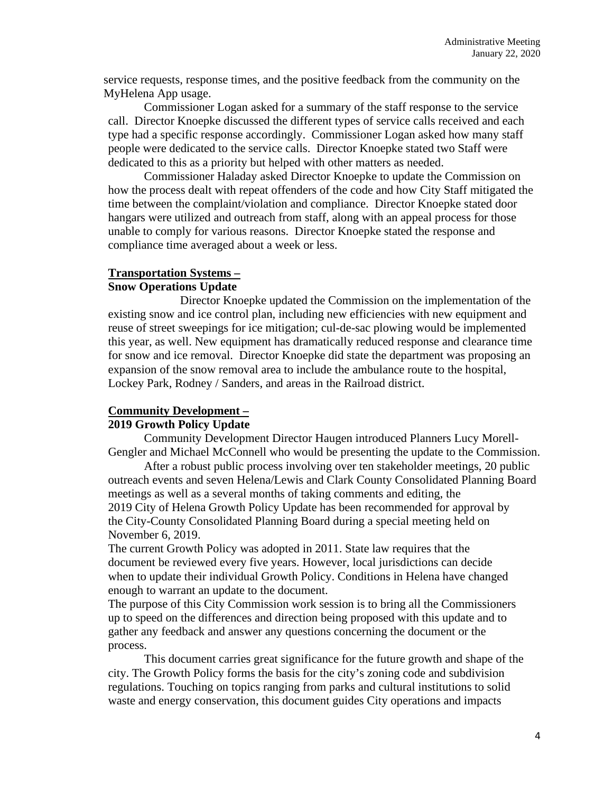service requests, response times, and the positive feedback from the community on the MyHelena App usage.

Commissioner Logan asked for a summary of the staff response to the service call. Director Knoepke discussed the different types of service calls received and each type had a specific response accordingly. Commissioner Logan asked how many staff people were dedicated to the service calls. Director Knoepke stated two Staff were dedicated to this as a priority but helped with other matters as needed.

Commissioner Haladay asked Director Knoepke to update the Commission on how the process dealt with repeat offenders of the code and how City Staff mitigated the time between the complaint/violation and compliance. Director Knoepke stated door hangars were utilized and outreach from staff, along with an appeal process for those unable to comply for various reasons. Director Knoepke stated the response and compliance time averaged about a week or less.

#### **Transportation Systems –**

#### **Snow Operations Update**

Director Knoepke updated the Commission on the implementation of the existing snow and ice control plan, including new efficiencies with new equipment and reuse of street sweepings for ice mitigation; cul-de-sac plowing would be implemented this year, as well. New equipment has dramatically reduced response and clearance time for snow and ice removal. Director Knoepke did state the department was proposing an expansion of the snow removal area to include the ambulance route to the hospital, Lockey Park, Rodney / Sanders, and areas in the Railroad district.

#### **Community Development –**

## **2019 Growth Policy Update**

Community Development Director Haugen introduced Planners Lucy Morell-Gengler and Michael McConnell who would be presenting the update to the Commission.

After a robust public process involving over ten stakeholder meetings, 20 public outreach events and seven Helena/Lewis and Clark County Consolidated Planning Board meetings as well as a several months of taking comments and editing, the 2019 City of Helena Growth Policy Update has been recommended for approval by the City-County Consolidated Planning Board during a special meeting held on November 6, 2019.

The current Growth Policy was adopted in 2011. State law requires that the document be reviewed every five years. However, local jurisdictions can decide when to update their individual Growth Policy. Conditions in Helena have changed enough to warrant an update to the document.

The purpose of this City Commission work session is to bring all the Commissioners up to speed on the differences and direction being proposed with this update and to gather any feedback and answer any questions concerning the document or the process.

This document carries great significance for the future growth and shape of the city. The Growth Policy forms the basis for the city's zoning code and subdivision regulations. Touching on topics ranging from parks and cultural institutions to solid waste and energy conservation, this document guides City operations and impacts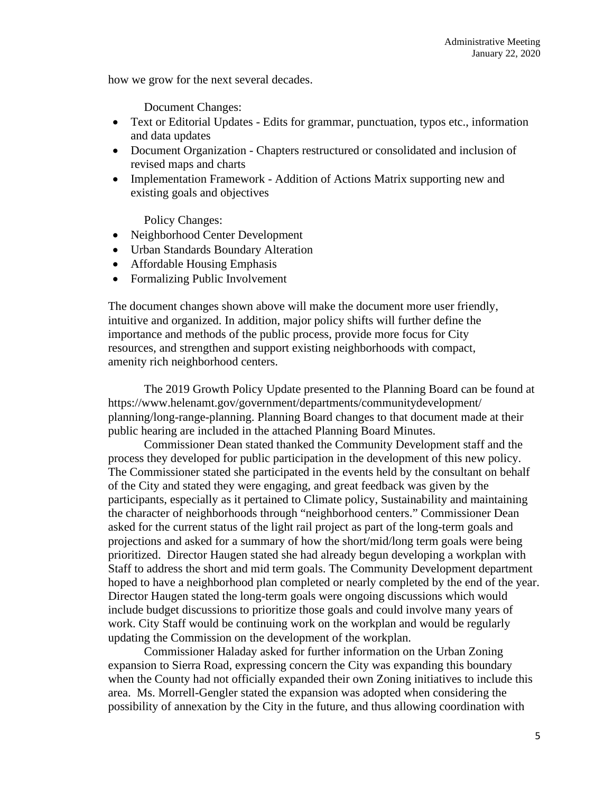how we grow for the next several decades.

Document Changes:

- Text or Editorial Updates Edits for grammar, punctuation, typos etc., information and data updates
- Document Organization Chapters restructured or consolidated and inclusion of revised maps and charts
- Implementation Framework Addition of Actions Matrix supporting new and existing goals and objectives

Policy Changes:

- Neighborhood Center Development
- Urban Standards Boundary Alteration
- Affordable Housing Emphasis
- Formalizing Public Involvement

The document changes shown above will make the document more user friendly, intuitive and organized. In addition, major policy shifts will further define the importance and methods of the public process, provide more focus for City resources, and strengthen and support existing neighborhoods with compact, amenity rich neighborhood centers.

The 2019 Growth Policy Update presented to the Planning Board can be found at https://www.helenamt.gov/government/departments/communitydevelopment/ planning/long-range-planning. Planning Board changes to that document made at their public hearing are included in the attached Planning Board Minutes.

Commissioner Dean stated thanked the Community Development staff and the process they developed for public participation in the development of this new policy. The Commissioner stated she participated in the events held by the consultant on behalf of the City and stated they were engaging, and great feedback was given by the participants, especially as it pertained to Climate policy, Sustainability and maintaining the character of neighborhoods through "neighborhood centers." Commissioner Dean asked for the current status of the light rail project as part of the long-term goals and projections and asked for a summary of how the short/mid/long term goals were being prioritized. Director Haugen stated she had already begun developing a workplan with Staff to address the short and mid term goals. The Community Development department hoped to have a neighborhood plan completed or nearly completed by the end of the year. Director Haugen stated the long-term goals were ongoing discussions which would include budget discussions to prioritize those goals and could involve many years of work. City Staff would be continuing work on the workplan and would be regularly updating the Commission on the development of the workplan.

Commissioner Haladay asked for further information on the Urban Zoning expansion to Sierra Road, expressing concern the City was expanding this boundary when the County had not officially expanded their own Zoning initiatives to include this area. Ms. Morrell-Gengler stated the expansion was adopted when considering the possibility of annexation by the City in the future, and thus allowing coordination with